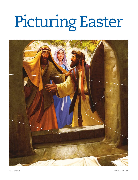## Picturing Easter